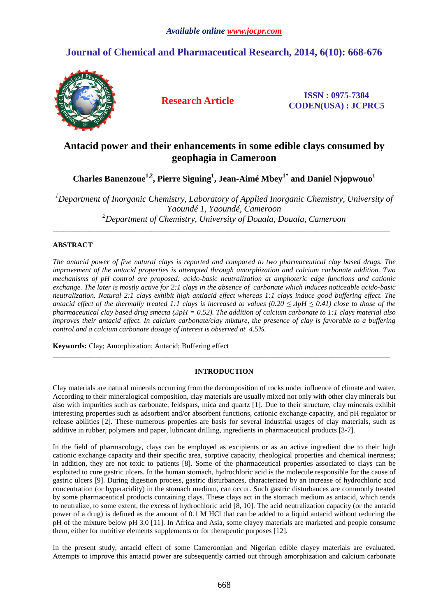# **Journal of Chemical and Pharmaceutical Research, 2014, 6(10): 668-676**



**Research Article ISSN : 0975-7384 CODEN(USA) : JCPRC5**

# **Antacid power and their enhancements in some edible clays consumed by geophagia in Cameroon**

**Charles Banenzoue1,2, Pierre Signing<sup>1</sup> , Jean-Aimé Mbey1\* and Daniel Njopwouo<sup>1</sup>** 

*<sup>1</sup>Department of Inorganic Chemistry, Laboratory of Applied Inorganic Chemistry, University of Yaoundé 1, Yaoundé, Cameroon <sup>2</sup>Department of Chemistry, University of Douala, Douala, Cameroon* 

\_\_\_\_\_\_\_\_\_\_\_\_\_\_\_\_\_\_\_\_\_\_\_\_\_\_\_\_\_\_\_\_\_\_\_\_\_\_\_\_\_\_\_\_\_\_\_\_\_\_\_\_\_\_\_\_\_\_\_\_\_\_\_\_\_\_\_\_\_\_\_\_\_\_\_\_\_\_\_\_\_\_\_\_\_\_\_\_\_\_\_\_

# **ABSTRACT**

*The antacid power of five natural clays is reported and compared to two pharmaceutical clay based drugs. The improvement of the antacid properties is attempted through amorphization and calcium carbonate addition. Two mechanisms of pH control are proposed: acido-basic neutralization at amphoteric edge functions and cationic exchange. The later is mostly active for 2:1 clays in the absence of carbonate which induces noticeable acido-basic neutralization. Natural 2:1 clays exhibit high antiacid effect whereas 1:1 clays induce good buffering effect. The antacid effect of the thermally treated 1:1 clays is increased to values*  $(0.20 \leq \Delta pH \leq 0.41)$  *close to those of the pharmaceutical clay based drug smecta (∆pH = 0.52). The addition of calcium carbonate to 1:1 clays material also improves their antacid effect. In calcium carbonate/clay mixture, the presence of clay is favorable to a buffering control and a calcium carbonate dosage of interest is observed at 4.5%.* 

**Keywords:** Clay; Amorphization; Antacid; Buffering effect

## **INTRODUCTION**

\_\_\_\_\_\_\_\_\_\_\_\_\_\_\_\_\_\_\_\_\_\_\_\_\_\_\_\_\_\_\_\_\_\_\_\_\_\_\_\_\_\_\_\_\_\_\_\_\_\_\_\_\_\_\_\_\_\_\_\_\_\_\_\_\_\_\_\_\_\_\_\_\_\_\_\_\_\_\_\_\_\_\_\_\_\_\_\_\_\_\_\_

Clay materials are natural minerals occurring from the decomposition of rocks under influence of climate and water. According to their mineralogical composition, clay materials are usually mixed not only with other clay minerals but also with impurities such as carbonate, feldspars, mica and quartz [1]. Due to their structure, clay minerals exhibit interesting properties such as adsorbent and/or absorbent functions, cationic exchange capacity, and pH regulator or release abilities [2]. These numerous properties are basis for several industrial usages of clay materials, such as additive in rubber, polymers and paper, lubricant drilling, ingredients in pharmaceutical products [3-7].

In the field of pharmacology, clays can be employed as excipients or as an active ingredient due to their high cationic exchange capacity and their specific area, sorptive capacity, rheological properties and chemical inertness; in addition, they are not toxic to patients [8]. Some of the pharmaceutical properties associated to clays can be exploited to cure gastric ulcers. In the human stomach, hydrochloric acid is the molecule responsible for the cause of gastric ulcers [9]. During digestion process, gastric disturbances, characterized by an increase of hydrochloric acid concentration (or hyperacidity) in the stomach medium, can occur. Such gastric disturbances are commonly treated by some pharmaceutical products containing clays. These clays act in the stomach medium as antacid, which tends to neutralize, to some extent, the excess of hydrochloric acid [8, 10]. The acid neutralization capacity (or the antacid power of a drug) is defined as the amount of 0.1 M HCl that can be added to a liquid antacid without reducing the pH of the mixture below pH 3.0 [11]. In Africa and Asia, some clayey materials are marketed and people consume them, either for nutritive elements supplements or for therapeutic purposes [12].

In the present study, antacid effect of some Cameroonian and Nigerian edible clayey materials are evaluated. Attempts to improve this antacid power are subsequently carried out through amorphization and calcium carbonate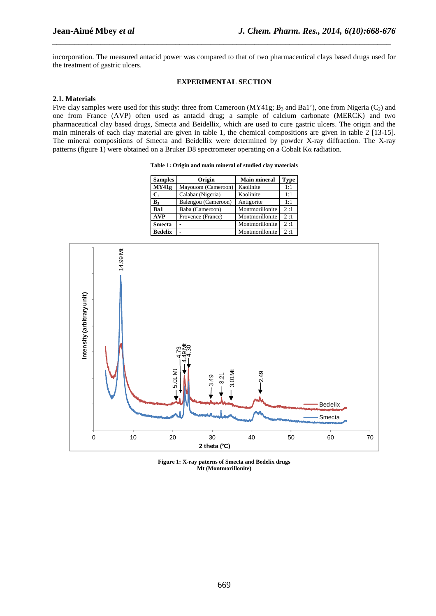incorporation. The measured antacid power was compared to that of two pharmaceutical clays based drugs used for the treatment of gastric ulcers.

*\_\_\_\_\_\_\_\_\_\_\_\_\_\_\_\_\_\_\_\_\_\_\_\_\_\_\_\_\_\_\_\_\_\_\_\_\_\_\_\_\_\_\_\_\_\_\_\_\_\_\_\_\_\_\_\_\_\_\_\_\_\_\_\_\_\_\_\_\_\_\_\_\_\_\_\_\_*

#### **EXPERIMENTAL SECTION**

#### **2.1. Materials**

Five clay samples were used for this study: three from Cameroon (MY41g;  $B_3$  and Ba1'), one from Nigeria (C<sub>2</sub>) and one from France (AVP) often used as antacid drug; a sample of calcium carbonate (MERCK) and two pharmaceutical clay based drugs, Smecta and Beidellix, which are used to cure gastric ulcers. The origin and the main minerals of each clay material are given in table 1, the chemical compositions are given in table 2 [13-15]. The mineral compositions of Smecta and Beidellix were determined by powder X-ray diffraction. The X-ray patterns (figure 1) were obtained on a Bruker D8 spectrometer operating on a Cobalt Kα radiation.

|  |  |  |  |  | Table 1: Origin and main mineral of studied clay materials |
|--|--|--|--|--|------------------------------------------------------------|
|--|--|--|--|--|------------------------------------------------------------|

| <b>Samples</b> | Origin              | <b>Main mineral</b> | Type |
|----------------|---------------------|---------------------|------|
| MY41g          | Mayouom (Cameroon)  | Kaolinite           | 1:1  |
| C <sub>2</sub> | Calabar (Nigeria)   | Kaolinite           | 1:1  |
| $\mathbf{B}_3$ | Balengou (Cameroon) | Antigorite          | 1:1  |
| Ba1            | Baba (Cameroon)     | Montmorillonite     | 2:1  |
| <b>AVP</b>     | Provence (France)   | Montmorillonite     | 2:1  |
| <b>Smecta</b>  |                     | Montmorillonite     | 2:1  |
| <b>Bedelix</b> |                     | Montmorillonite     | 2:1  |



**Figure 1: X-ray paterns of Smecta and Bedelix drugs Mt (Montmorillonite)**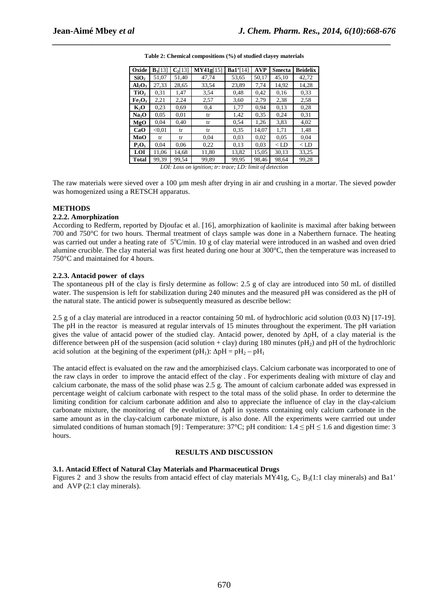| Oxide                          | $B_3[13]$ | $C_2[13]$ | MY41g[15] | Ba1'[14] | <b>AVP</b> | <b>Smecta</b> | <b>Beidelix</b> |
|--------------------------------|-----------|-----------|-----------|----------|------------|---------------|-----------------|
| SiO <sub>2</sub>               | 51,07     | 51,40     | 47,74     | 53,65    | 50,17      | 45,10         | 42,72           |
| $Al_2O_3$                      | 27,33     | 28,65     | 33,54     | 23,89    | 7,74       | 14,92         | 14,28           |
| TiO <sub>2</sub>               | 0,31      | 1,47      | 3.54      | 0,48     | 0.42       | 0,16          | 0.33            |
| Fe <sub>2</sub> O <sub>3</sub> | 2,21      | 2,24      | 2,57      | 3,60     | 2,79       | 2,38          | 2,58            |
| K <sub>2</sub> O               | 0.23      | 0.69      | 0,4       | 1,77     | 0.94       | 0,13          | 0.28            |
| Na <sub>2</sub> O              | 0.05      | 0,01      | tr        | 1,42     | 0.35       | 0,24          | 0,31            |
| MgO                            | 0,04      | 0,40      | tr        | 0.54     | 1,26       | 3.83          | 4,02            |
| CaO                            | < 0.01    | tr        | tr        | 0.35     | 14.07      | 1,71          | 1,48            |
| MnO                            | tr        | tr        | 0,04      | 0,03     | 0.02       | 0.05          | 0.04            |
| $P_2O_5$                       | 0.04      | 0,06      | 0.22      | 0,13     | 0.03       | $<$ LD        | $\langle$ LD    |
| LOI                            | 11,06     | 14,68     | 11,80     | 13,82    | 15,05      | 30,13         | 33,25           |
| Total                          | 99,39     | 99,54     | 99,89     | 99,95    | 98,46      | 98,64         | 99,28           |

**Table 2: Chemical compositions (%) of studied clayey materials** 

*\_\_\_\_\_\_\_\_\_\_\_\_\_\_\_\_\_\_\_\_\_\_\_\_\_\_\_\_\_\_\_\_\_\_\_\_\_\_\_\_\_\_\_\_\_\_\_\_\_\_\_\_\_\_\_\_\_\_\_\_\_\_\_\_\_\_\_\_\_\_\_\_\_\_\_\_\_*

The raw materials were sieved over a 100 µm mesh after drying in air and crushing in a mortar. The sieved powder was homogenized using a RETSCH apparatus.

#### **METHODS**

#### **2.2.2. Amorphization**

According to Redferm, reported by Djoufac et al. [16], amorphization of kaolinite is maximal after baking between 700 and 750°C for two hours. Thermal treatment of clays sample was done in a Naberthern furnace. The heating was carried out under a heating rate of  $5^{\circ}$ C/min. 10 g of clay material were introduced in an washed and oven dried alumine crucible. The clay material was first heated during one hour at 300°C, then the temperature was increased to 750°C and maintained for 4 hours.

#### **2.2.3. Antacid power of clays**

The spontaneous pH of the clay is firsly determine as follow: 2.5 g of clay are introduced into 50 mL of distilled water. The suspension is left for stabilization during 240 minutes and the measured pH was considered as the pH of the natural state. The anticid power is subsequently measured as describe bellow:

2.5 g of a clay material are introduced in a reactor containing 50 mL of hydrochloric acid solution (0.03 N) [17-19]. The pH in the reactor is measured at regular intervals of 15 minutes throughout the experiment. The pH variation gives the value of antacid power of the studied clay. Antacid power, denoted by ∆pH, of a clay material is the difference between pH of the suspension (acid solution + clay) during 180 minutes (pH<sub>2</sub>) and pH of the hydrochloric acid solution at the begining of the experiment (pH<sub>1</sub>):  $\Delta$ pH = pH<sub>2</sub> – pH<sub>1</sub>

The antacid effect is evaluated on the raw and the amorphizised clays. Calcium carbonate was incorporated to one of the raw clays in order to improve the antacid effect of the clay . For experiments dealing with mixture of clay and calcium carbonate, the mass of the solid phase was 2.5 g. The amount of calcium carbonate added was expressed in percentage weight of calcium carbonate with respect to the total mass of the solid phase. In order to determine the limiting condition for calcium carbonate addition and also to appreciate the influence of clay in the clay-calcium carbonate mixture, the monitoring of the evolution of ∆pH in systems containing only calcium carbonate in the same amount as in the clay-calcium carbonate mixture, is also done. All the experiments were carrried out under simulated conditions of human stomach [9] : Temperature:  $37^{\circ}$ C; pH condition:  $1.4 \leq pH \leq 1.6$  and digestion time: 3 hours.

#### **RESULTS AND DISCUSSION**

#### **3.1. Antacid Effect of Natural Clay Materials and Pharmaceutical Drugs**

Figures 2 and 3 show the results from antacid effect of clay materials  $MY41g$ ,  $C_2$ ,  $B_3(1:1$  clay minerals) and Ba1' and AVP (2:1 clay minerals).

*LOI: Loss on ignition; tr: trace; LD: limit of detection*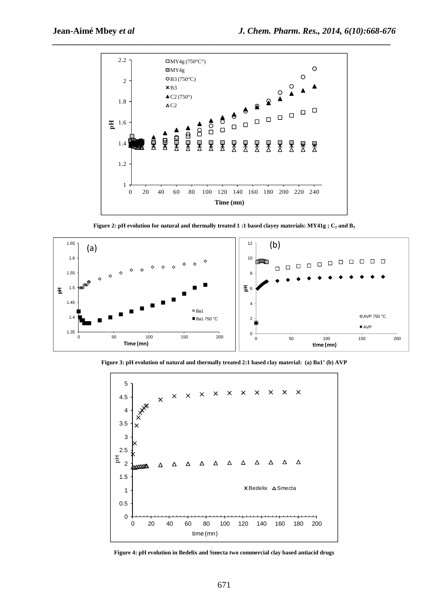

**Figure 2: pH evolution for natural and thermally treated 1 :1 based clayey materials: MY41g ; C2 and B<sup>3</sup>**



**Figure 3: pH evolution of natural and thermally treated 2:1 based clay material: (a) Ba1' (b) AVP** 



**Figure 4: pH evolution in Bedelix and Smecta two commercial clay based antiacid drugs**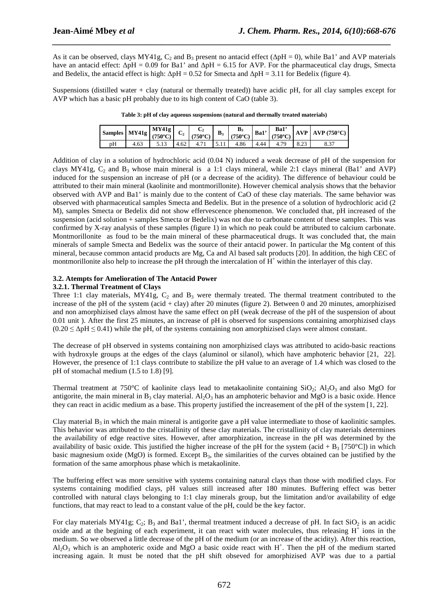As it can be observed, clays MY41g,  $C_2$  and  $B_3$  present no antacid effect ( $\Delta pH = 0$ ), while Ba1' and AVP materials have an antacid effect: ∆pH = 0.09 for Ba1' and ∆pH = 6.15 for AVP. For the pharmaceutical clay drugs, Smecta and Bedelix, the antacid effect is high:  $\Delta pH = 0.52$  for Smecta and  $\Delta pH = 3.11$  for Bedelix (figure 4).

*\_\_\_\_\_\_\_\_\_\_\_\_\_\_\_\_\_\_\_\_\_\_\_\_\_\_\_\_\_\_\_\_\_\_\_\_\_\_\_\_\_\_\_\_\_\_\_\_\_\_\_\_\_\_\_\_\_\_\_\_\_\_\_\_\_\_\_\_\_\_\_\_\_\_\_\_\_*

Suspensions (distilled water + clay (natural or thermally treated)) have acidic pH, for all clay samples except for AVP which has a basic pH probably due to its high content of CaO (table 3).

|    |      |                                                 |  |  |  | $\begin{array}{c c c c c c c c} \hline \text{Samples} & \text{MY41g} & \text{MY41g} & \text{C}_2 & \text{C}_2 & \text{C}_2 & \text{B}_3 & \text{B}_3 & \text{B}_4 & \text{B}_4 & \text{B}_4 \\ \hline (750^{\circ}\text{C}) & (750^{\circ}\text{C}) & \text{B}_3 & (750^{\circ}\text{C}) & \text{B}_4 & (750^{\circ}\text{C}) & \text{AVP} & \text{AVP} & (750^{\circ}\text{C}) \end{array}$ |
|----|------|-------------------------------------------------|--|--|--|----------------------------------------------------------------------------------------------------------------------------------------------------------------------------------------------------------------------------------------------------------------------------------------------------------------------------------------------------------------------------------------------|
| pН | 4.63 | $\vert$ 5.13 4.62 4.71 5.11 4.86 4.44 4.79 8.23 |  |  |  |                                                                                                                                                                                                                                                                                                                                                                                              |

**Table 3: pH of clay aqueous suspensions (natural and thermally treated materials)** 

Addition of clay in a solution of hydrochloric acid (0.04 N) induced a weak decrease of pH of the suspension for clays MY41g,  $C_2$  and  $B_3$  whose main mineral is a 1:1 clays mineral, while 2:1 clays mineral (Ba1' and AVP) induced for the suspension an increase of pH (or a decrease of the acidity). The difference of behaviour could be attributed to their main mineral (kaolinite and montmorillonite). However chemical analysis shows that the behavior observed with AVP and Ba1' is mainly due to the content of CaO of these clay materials. The same behavior was observed with pharmaceutical samples Smecta and Bedelix. But in the presence of a solution of hydrochloric acid (2 M), samples Smecta or Bedelix did not show effervescence phenomenon. We concluded that, pH increased of the suspension (acid solution + samples Smecta or Bedelix) was not due to carbonate content of these samples. This was confirmed by X-ray analysis of these samples (figure 1) in which no peak could be attributed to calcium carbonate. Montmorillonite as foud to be the main mineral of these pharmaceutical drugs. It was concluded that, the main minerals of sample Smecta and Bedelix was the source of their antacid power. In particular the Mg content of this mineral, because common antacid products are Mg, Ca and Al based salt products [20]. In addition, the high CEC of montmorillonite also help to increase the pH through the intercalation of  $\overline{H}^+$  within the interlayer of this clay.

### **3.2. Atempts for Amelioration of The Antacid Power**

### **3.2.1. Thermal Treatment of Clays**

Three 1:1 clay materials, MY41g,  $C_2$  and  $B_3$  were thermaly treated. The thermal treatment contributed to the increase of the pH of the system (acid  $+$  clay) after 20 minutes (figure 2). Between 0 and 20 minutes, amorphizised and non amorphizised clays almost have the same effect on pH (weak decrease of the pH of the suspension of about 0.01 unit ). After the first 25 minutes, an increase of pH is observed for suspensions containing amorphizised clays  $(0.20 \le \Delta pH \le 0.41)$  while the pH, of the systems containing non amorphizised clays were almost constant.

The decrease of pH observed in systems containing non amorphizised clays was attributed to acido-basic reactions with hydroxyle groups at the edges of the clays (aluminol or silanol), which have amphoteric behavior [21, 22]. However, the presence of 1:1 clays contribute to stabilize the pH value to an average of 1.4 which was closed to the pH of stomachal medium (1.5 to 1.8) [9].

Thermal treatment at 750°C of kaolinite clays lead to metakaolinite containing  $SiO_2$ ;  $Al_2O_3$  and also MgO for antigorite, the main mineral in  $B_3$  clay material. Al<sub>2</sub>O<sub>3</sub> has an amphoteric behavior and MgO is a basic oxide. Hence they can react in acidic medium as a base. This property justified the increasement of the pH of the system [1, 22].

Clay material  $B_3$  in which the main mineral is antigorite gave a pH value intermediate to those of kaolinitic samples. This behavior was attributed to the cristallinity of these clay materials. The cristallinity of clay materials determines the availability of edge reactive sites. However, after amorphization, increase in the pH was determined by the availability of basic oxide. This justified the higher increase of the pH for the system (acid +  $B_3$  [750°C]) in which basic magnesium oxide (MgO) is formed. Except  $B_3$ , the similarities of the curves obtained can be justified by the formation of the same amorphous phase which is metakaolinite.

The buffering effect was more sensitive with systems containing natural clays than those with modified clays. For systems containing modified clays, pH values still increased after 180 minutes. Buffering effect was better controlled with natural clays belonging to 1:1 clay minerals group, but the limitation and/or availability of edge functions, that may react to lead to a constant value of the pH, could be the key factor.

For clay materials MY41g;  $C_2$ ;  $B_3$  and Ba1', thermal treatment induced a decrease of pH. In fact  $SiO_2$  is an acidic oxide and at the begining of each experiment, it can react with water molecules, thus releasing  $H^+$  ions in the medium. So we observed a little decrease of the pH of the medium (or an increase of the acidity). After this reaction,  $Al_2O_3$  which is an amphoteric oxide and MgO a basic oxide react with H<sup>+</sup>. Then the pH of the medium started increasing again. It must be noted that the pH shift obseved for amorphizised AVP was due to a partial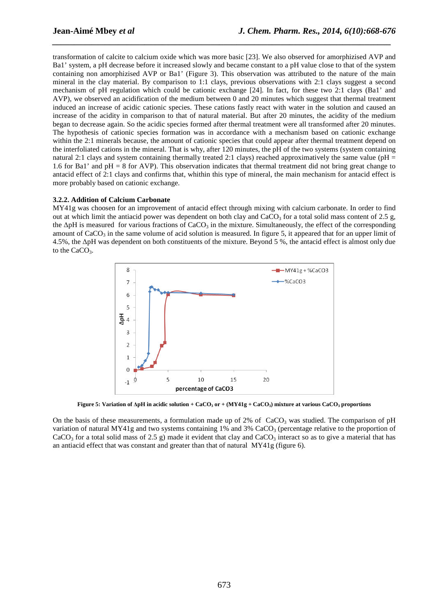transformation of calcite to calcium oxide which was more basic [23]. We also observed for amorphizised AVP and Ba1' system, a pH decrease before it increased slowly and became constant to a pH value close to that of the system containing non amorphizised AVP or Ba1' (Figure 3). This observation was attributed to the nature of the main mineral in the clay material. By comparison to 1:1 clays, previous observations with 2:1 clays suggest a second mechanism of pH regulation which could be cationic exchange [24]. In fact, for these two 2:1 clays (Ba1' and AVP), we observed an acidification of the medium between 0 and 20 minutes which suggest that thermal treatment induced an increase of acidic cationic species. These cations fastly react with water in the solution and caused an increase of the acidity in comparison to that of natural material. But after 20 minutes, the acidity of the medium began to decrease again. So the acidic species formed after thermal treatment were all transformed after 20 minutes. The hypothesis of cationic species formation was in accordance with a mechanism based on cationic exchange within the 2:1 minerals because, the amount of cationic species that could appear after thermal treatment depend on the interfoliated cations in the mineral. That is why, after 120 minutes, the pH of the two systems (system containing natural 2:1 clays and system containing thermally treated 2:1 clays) reached approximatively the same value ( $pH =$ 1.6 for Ba1' and pH = 8 for AVP). This observation indicates that thermal treatment did not bring great change to antacid effect of 2:1 clays and confirms that, whithin this type of mineral, the main mechanism for antacid effect is more probably based on cationic exchange.

*\_\_\_\_\_\_\_\_\_\_\_\_\_\_\_\_\_\_\_\_\_\_\_\_\_\_\_\_\_\_\_\_\_\_\_\_\_\_\_\_\_\_\_\_\_\_\_\_\_\_\_\_\_\_\_\_\_\_\_\_\_\_\_\_\_\_\_\_\_\_\_\_\_\_\_\_\_*

## **3.2.2. Addition of Calcium Carbonate**

MY41g was choosen for an improvement of antacid effect through mixing with calcium carbonate. In order to find out at which limit the antiacid power was dependent on both clay and  $CaCO<sub>3</sub>$  for a total solid mass content of 2.5 g, the  $\Delta$ pH is measured for various fractions of CaCO<sub>3</sub> in the mixture. Simultaneously, the effect of the corresponding amount of  $CaCO<sub>3</sub>$  in the same volume of acid solution is measured. In figure 5, it appeared that for an upper limit of 4.5%, the ∆pH was dependent on both constituents of the mixture. Beyond 5 %, the antacid effect is almost only due to the CaCO<sub>3</sub>.



**Figure 5: Variation of ∆pH in acidic solution + CaCO3 or + (MY41g + CaCO3) mixture at various CaCO3 proportions** 

On the basis of these measurements, a formulation made up of  $2\%$  of CaCO<sub>3</sub> was studied. The comparison of pH variation of natural MY41g and two systems containing 1% and 3% CaCO<sub>3</sub> (percentage relative to the proportion of CaCO<sub>3</sub> for a total solid mass of 2.5 g) made it evident that clay and CaCO<sub>3</sub> interact so as to give a material that has an antiacid effect that was constant and greater than that of natural MY41g (figure 6).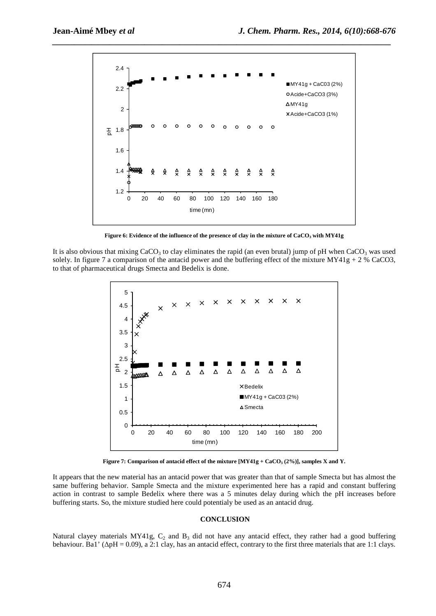

**Figure 6: Evidence of the influence of the presence of clay in the mixture of CaCO3 with MY41g** 

It is also obvious that mixing CaCO<sub>3</sub> to clay eliminates the rapid (an even brutal) jump of pH when CaCO<sub>3</sub> was used solely. In figure 7 a comparison of the antacid power and the buffering effect of the mixture MY41g + 2 % CaCO3, to that of pharmaceutical drugs Smecta and Bedelix is done.



**Figure 7: Comparison of antacid effect of the mixture [MY41g + CaCO3 (2%)], samples X and Y.** 

It appears that the new material has an antacid power that was greater than that of sample Smecta but has almost the same buffering behavior. Sample Smecta and the mixture experimented here has a rapid and constant buffering action in contrast to sample Bedelix where there was a 5 minutes delay during which the pH increases before buffering starts. So, the mixture studied here could potentialy be used as an antacid drug.

#### **CONCLUSION**

Natural clayey materials MY41g,  $C_2$  and  $B_3$  did not have any antacid effect, they rather had a good buffering behaviour. Ba1' ( $\Delta pH = 0.09$ ), a 2:1 clay, has an antacid effect, contrary to the first three materials that are 1:1 clays.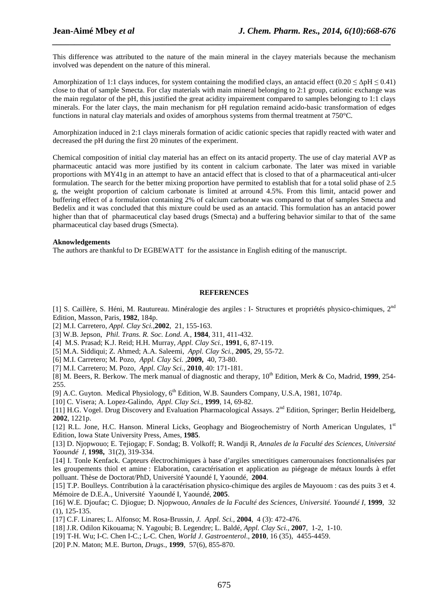This difference was attributed to the nature of the main mineral in the clayey materials because the mechanism involved was dependent on the nature of this mineral.

*\_\_\_\_\_\_\_\_\_\_\_\_\_\_\_\_\_\_\_\_\_\_\_\_\_\_\_\_\_\_\_\_\_\_\_\_\_\_\_\_\_\_\_\_\_\_\_\_\_\_\_\_\_\_\_\_\_\_\_\_\_\_\_\_\_\_\_\_\_\_\_\_\_\_\_\_\_*

Amorphization of 1:1 clays induces, for system containing the modified clays, an antacid effect (0.20  $\leq \Delta pH \leq 0.41$ ) close to that of sample Smecta. For clay materials with main mineral belonging to 2:1 group, cationic exchange was the main regulator of the pH, this justified the great acidity impairement compared to samples belonging to 1:1 clays minerals. For the later clays, the main mechanism for pH regulation remaind acido-basic transformation of edges functions in natural clay materials and oxides of amorphous systems from thermal treatment at 750°C.

Amorphization induced in 2:1 clays minerals formation of acidic cationic species that rapidly reacted with water and decreased the pH during the first 20 minutes of the experiment.

Chemical composition of initial clay material has an effect on its antacid property. The use of clay material AVP as pharmaceutic antacid was more justified by its content in calcium carbonate. The later was mixed in variable proportions with MY41g in an attempt to have an antacid effect that is closed to that of a pharmaceutical anti-ulcer formulation. The search for the better mixing proportion have permited to establish that for a total solid phase of 2.5 g, the weight proportion of calcium carbonate is limited at arround 4.5%. From this limit, antacid power and buffering effect of a formulation containing 2% of calcium carbonate was compared to that of samples Smecta and Bedelix and it was concluded that this mixture could be used as an antacid. This formulation has an antacid power higher than that of pharmaceutical clay based drugs (Smecta) and a buffering behavior similar to that of the same pharmaceutical clay based drugs (Smecta).

#### **Aknowledgements**

The authors are thankful to Dr EGBEWATT for the assistance in English editing of the manuscript.

#### **REFERENCES**

[1] S. Caillère, S. Héni, M. Rautureau. Minéralogie des argiles : I- Structures et propriétés physico-chimiques, 2nd Edition, Masson, Paris, **1982**, 184p.

[2] M.I. Carretero, *Appl. Clay Sci.,***2002***,* 21, 155-163.

[3] W.B. Jepson, *Phil. Trans. R. Soc. Lond. A.*, **1984**, 311, 411-432.

[4] M.S. Prasad; K.J. Reid; H.H. Murray, *Appl. Clay Sci.*, **1991**, 6, 87-119.

[5] M.A. Siddiqui; Z. Ahmed; A.A. Saleemi, *Appl. Clay Sci.,* **2005**, 29, 55-72.

[6] M.I. Carretero; M. Pozo, *Appl. Clay Sci. ,***2009,** 40, 73-80.

[7] M.I. Carretero; M. Pozo, *Appl. Clay Sci.,* **2010**, 40: 171-181.

[8] M. Beers, R. Berkow. The merk manual of diagnostic and therapy, 10<sup>th</sup> Edition, Merk & Co, Madrid, 1999, 254-255.

[9] A.C. Guyton. Medical Physiology, 6<sup>th</sup> Edition, W.B. Saunders Company, U.S.A, 1981, 1074p.

[10] C. Visera; A. Lopez-Galindo, *Appl. Clay Sci.,* **1999**, 14, 69-82.

[11] H.G. Vogel. Drug Discovery and Evaluation Pharmacological Assays. 2<sup>nd</sup> Edition, Springer; Berlin Heidelberg, **2002**, 1221p.

[12] R.L. Jone, H.C. Hanson. Mineral Licks, Geophagy and Biogeochemistry of North American Ungulates, 1st Edition, Iowa State University Press, Ames, **1985**.

[13] D. Njopwouo; E. Tejiogap; F. Sondag; B. Volkoff; R. Wandji R, *Annales de la Faculté des Sciences, Université Yaoundé I*, **1998,** 31(2), 319-334.

[14] I. Tonle Kenfack. Capteurs électrochimiques à base d'argiles smectitiques camerounaises fonctionnalisées par les groupements thiol et amine : Elaboration, caractérisation et application au piégeage de métaux lourds à effet polluant. Thèse de Doctorat/PhD, Université Yaoundé I, Yaoundé, **2004**.

[15] T.P. Boulleys. Contribution à la caractérisation physico-chimique des argiles de Mayouom : cas des puits 3 et 4. Mémoire de D.E.A., Université Yaoundé I, Yaoundé, **2005**.

[16] W.E. Djoufac; C. Djiogue; D. Njopwouo, *Annales de la Faculté des Sciences, Université. Yaoundé I*, **1999**, 32 (1), 125-135.

[17] C.F. Linares; L. Alfonso; M. Rosa-Brussin, *J. Appl. Sci.,* **2004**, 4 (3): 472-476.

[18] J.R. Odilon Kikouama; N. Yagoubi; B. Legendre; L. Baldé, *Appl. Clay Sci.*, **2007**, 1-2, 1-10.

[19] T-H. Wu; I-C. Chen I-C.; L-C. Chen, *World J*. *Gastroenterol*., **2010**, 16 (35), 4455-4459.

[20] P.N. Maton; M.E. Burton, *Drugs*., **1999**, 57(6), 855-870.